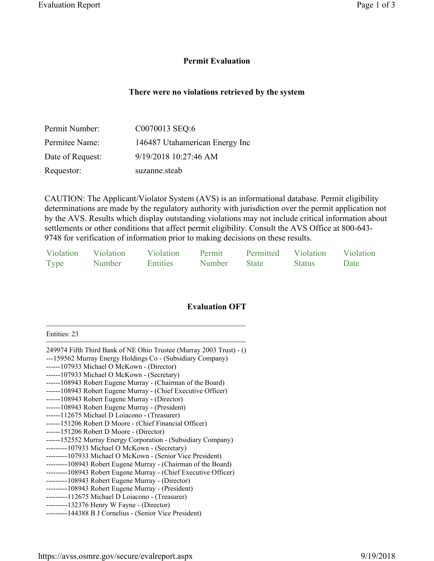## **Permit Evaluation**

## **There were no violations retrieved by the system**

| Permit Number:   | C0070013 SEQ:6                 |
|------------------|--------------------------------|
| Permitee Name:   | 146487 Utahamerican Energy Inc |
| Date of Request: | 9/19/2018 10:27:46 AM          |
| Requestor:       | suzanne.steab                  |

CAUTION: The Applicant/Violator System (AVS) is an informational database. Permit eligibility determinations are made by the regulatory authority with jurisdiction over the permit application not by the AVS. Results which display outstanding violations may not include critical information about settlements or other conditions that affect permit eligibility. Consult the AVS Office at 800-643- 9748 for verification of information prior to making decisions on these results.

| Violation   | Violation | Violation       | Permit | Permitted    | Violation     | Violation |
|-------------|-----------|-----------------|--------|--------------|---------------|-----------|
| <b>Type</b> | Number    | <b>Entities</b> | Number | <b>State</b> | <b>Status</b> | Date      |

## **Evaluation OFT**

Entities: 23

| 249974 Fifth Third Bank of NE Ohio Trustee (Murray 2003 Trust) - () |
|---------------------------------------------------------------------|
| ---159562 Murray Energy Holdings Co - (Subsidiary Company)          |
| ------107933 Michael O McKown - (Director)                          |
| ------107933 Michael O McKown - (Secretary)                         |
| ------108943 Robert Eugene Murray - (Chairman of the Board)         |
| ------108943 Robert Eugene Murray - (Chief Executive Officer)       |
| ------108943 Robert Eugene Murray - (Director)                      |
| ------108943 Robert Eugene Murray - (President)                     |
| ------112675 Michael D Loiacono - (Treasurer)                       |
| ------151206 Robert D Moore - (Chief Financial Officer)             |
| ------151206 Robert D Moore - (Director)                            |
| ------152552 Murray Energy Corporation - (Subsidiary Company)       |
| --------107933 Michael O McKown - (Secretary)                       |
| ---------107933 Michael O McKown - (Senior Vice President)          |
| ---------108943 Robert Eugene Murray - (Chairman of the Board)      |
| ---------108943 Robert Eugene Murray - (Chief Executive Officer)    |
| ---------108943 Robert Eugene Murray - (Director)                   |
| ---------108943 Robert Eugene Murray - (President)                  |
| --------112675 Michael D Loiacono - (Treasurer)                     |
| --------132376 Henry W Fayne - (Director)                           |
| ---------144388 B J Cornelius - (Senior Vice President)             |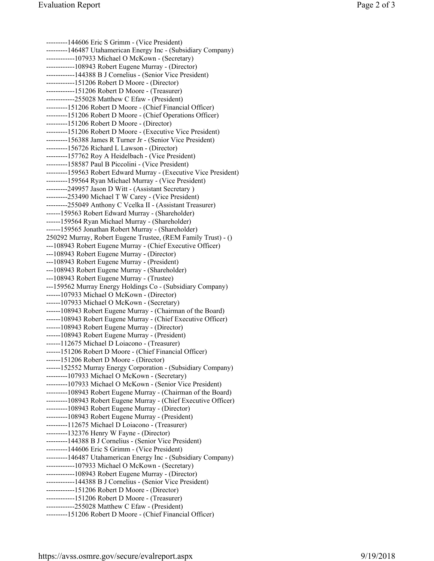---------144606 Eric S Grimm - (Vice President) ---------146487 Utahamerican Energy Inc - (Subsidiary Company) ------------107933 Michael O McKown - (Secretary) ------------108943 Robert Eugene Murray - (Director) ------------144388 B J Cornelius - (Senior Vice President) ------------151206 Robert D Moore - (Director) ------------151206 Robert D Moore - (Treasurer) ------------255028 Matthew C Efaw - (President) ---------151206 Robert D Moore - (Chief Financial Officer) ---------151206 Robert D Moore - (Chief Operations Officer) ---------151206 Robert D Moore - (Director) ---------151206 Robert D Moore - (Executive Vice President) ---------156388 James R Turner Jr - (Senior Vice President) ---------156726 Richard L Lawson - (Director) ---------157762 Roy A Heidelbach - (Vice President) ---------158587 Paul B Piccolini - (Vice President) ---------159563 Robert Edward Murray - (Executive Vice President) ---------159564 Ryan Michael Murray - (Vice President) ---------249957 Jason D Witt - (Assistant Secretary ) ---------253490 Michael T W Carey - (Vice President) ---------255049 Anthony C Vcelka II - (Assistant Treasurer) ------159563 Robert Edward Murray - (Shareholder) ------159564 Ryan Michael Murray - (Shareholder) ------159565 Jonathan Robert Murray - (Shareholder) 250292 Murray, Robert Eugene Trustee, (REM Family Trust) - () ---108943 Robert Eugene Murray - (Chief Executive Officer) ---108943 Robert Eugene Murray - (Director) ---108943 Robert Eugene Murray - (President) ---108943 Robert Eugene Murray - (Shareholder) ---108943 Robert Eugene Murray - (Trustee) ---159562 Murray Energy Holdings Co - (Subsidiary Company) ------107933 Michael O McKown - (Director) ------107933 Michael O McKown - (Secretary) ------108943 Robert Eugene Murray - (Chairman of the Board) ------108943 Robert Eugene Murray - (Chief Executive Officer) ------108943 Robert Eugene Murray - (Director) ------108943 Robert Eugene Murray - (President) ------112675 Michael D Loiacono - (Treasurer) ------151206 Robert D Moore - (Chief Financial Officer) ------151206 Robert D Moore - (Director) ------152552 Murray Energy Corporation - (Subsidiary Company) ---------107933 Michael O McKown - (Secretary) ---------107933 Michael O McKown - (Senior Vice President) ---------108943 Robert Eugene Murray - (Chairman of the Board) ---------108943 Robert Eugene Murray - (Chief Executive Officer ) ---------108943 Robert Eugene Murray - (Director) ---------108943 Robert Eugene Murray - (President) ---------112675 Michael D Loiacono - (Treasurer) ---------132376 Henry W Fayne - (Director) ---------144388 B J Cornelius - (Senior Vice President) ---------144606 Eric S Grimm - (Vice President) ---------146487 Utahamerican Energy Inc - (Subsidiary Company) ------------107933 Michael O McKown - (Secretary) ------------108943 Robert Eugene Murray - (Director) ------------144388 B J Cornelius - (Senior Vice President) ------------151206 Robert D Moore - (Director) ------------151206 Robert D Moore - (Treasurer) ------------255028 Matthew C Efaw - (President) ---------151206 Robert D Moore - (Chief Financial Officer)